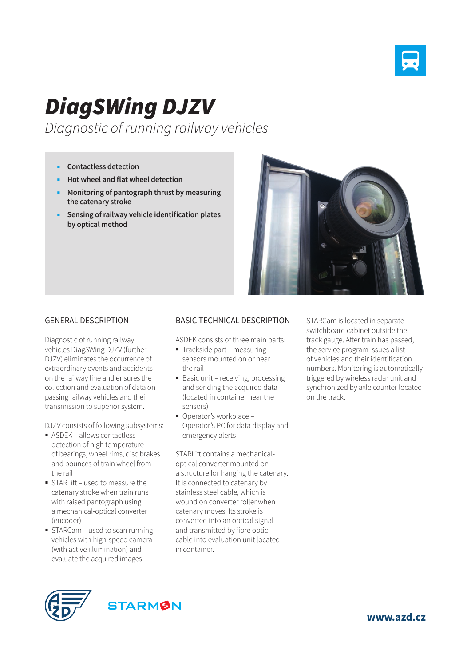

## *DiagSWing DJZV*

*Diagnostic of running railway vehicles*

- **Contactless detection**
- **Hot wheel and flat wheel detection**
- **Monitoring of pantograph thrust by measuring the catenary stroke**
- **Sensing of railway vehicle identification plates by optical method**



## GENERAL DESCRIPTION

Diagnostic of running railway vehicles DiagSWing DJZV (further DJZV) eliminates the occurrence of extraordinary events and accidents on the railway line and ensures the collection and evaluation of data on passing railway vehicles and their transmission to superior system.

DJZV consists of following subsystems:

- ASDEK allows contactless detection of high temperature of bearings, wheel rims, disc brakes and bounces of train wheel from the rail
- STARL ift used to measure the catenary stroke when train runs with raised pantograph using a mechanical-optical converter (encoder)
- STARCam used to scan running vehicles with high-speed camera (with active illumination) and evaluate the acquired images

## BASIC TECHNICAL DESCRIPTION

ASDEK consists of three main parts:

- Trackside part measuring sensors mounted on or near the rail
- Basic unit receiving, processing and sending the acquired data (located in container near the sensors)
- Operator's workplace Operator's PC for data display and emergency alerts

STARLift contains a mechanicaloptical converter mounted on a structure for hanging the catenary. It is connected to catenary by stainless steel cable, which is wound on converter roller when catenary moves. Its stroke is converted into an optical signal and transmitted by fibre optic cable into evaluation unit located in container.

STARCam is located in separate switchboard cabinet outside the track gauge. After train has passed, the service program issues a list of vehicles and their identification numbers. Monitoring is automatically triggered by wireless radar unit and synchronized by axle counter located on the track.